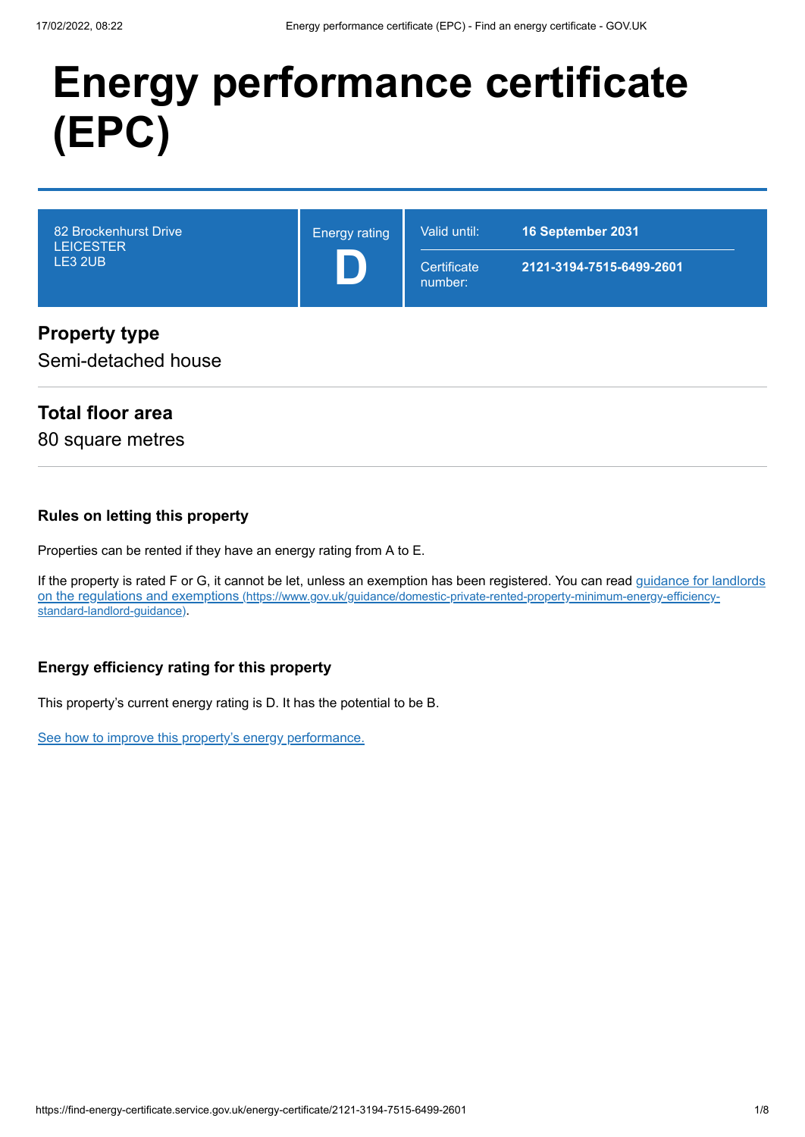# **Energy performance certificate (EPC)**

| 82 Brockenhurst Drive<br><b>LEICESTER</b><br>LE3 2UB | <b>Energy rating</b> | Valid until:<br>Certificate<br>number: | 16 September 2031<br>2121-3194-7515-6499-2601 |
|------------------------------------------------------|----------------------|----------------------------------------|-----------------------------------------------|
|                                                      |                      |                                        |                                               |

#### **Property type**

Semi-detached house

## **Total floor area**

80 square metres

#### **Rules on letting this property**

Properties can be rented if they have an energy rating from A to E.

[If the property is rated F or G, it cannot be let, unless an exemption has been registered. You can read guidance for landlords](https://www.gov.uk/guidance/domestic-private-rented-property-minimum-energy-efficiency-standard-landlord-guidance) on the regulations and exemptions (https://www.gov.uk/guidance/domestic-private-rented-property-minimum-energy-efficiencystandard-landlord-guidance).

#### **Energy efficiency rating for this property**

This property's current energy rating is D. It has the potential to be B.

[See how to improve this property's energy performance.](#page-3-0)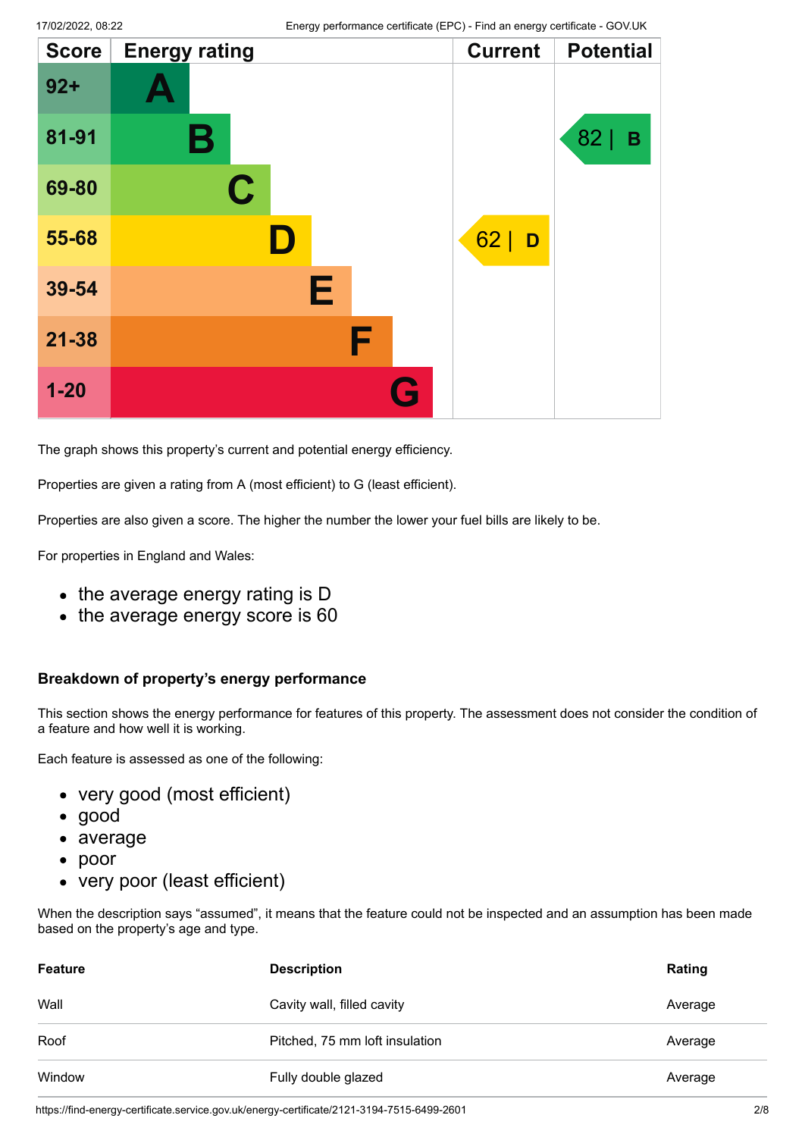| <b>Score</b> | <b>Energy rating</b> |   | <b>Current</b> | <b>Potential</b> |
|--------------|----------------------|---|----------------|------------------|
| $92 +$       |                      |   |                |                  |
| 81-91        | Β                    |   |                | 82<br>B          |
| 69-80        | $\mathbf C$          |   |                |                  |
| 55-68        |                      |   | 62<br>D        |                  |
| 39-54        | E                    |   |                |                  |
| $21 - 38$    | F                    |   |                |                  |
| $1 - 20$     |                      | G |                |                  |

The graph shows this property's current and potential energy efficiency.

Properties are given a rating from A (most efficient) to G (least efficient).

Properties are also given a score. The higher the number the lower your fuel bills are likely to be.

For properties in England and Wales:

- the average energy rating is D
- the average energy score is 60

#### **Breakdown of property's energy performance**

This section shows the energy performance for features of this property. The assessment does not consider the condition of a feature and how well it is working.

Each feature is assessed as one of the following:

- very good (most efficient)
- good
- average
- poor
- very poor (least efficient)

When the description says "assumed", it means that the feature could not be inspected and an assumption has been made based on the property's age and type.

| <b>Feature</b> | <b>Description</b>             | Rating  |
|----------------|--------------------------------|---------|
| Wall           | Cavity wall, filled cavity     | Average |
| Roof           | Pitched, 75 mm loft insulation | Average |
| Window         | Fully double glazed            | Average |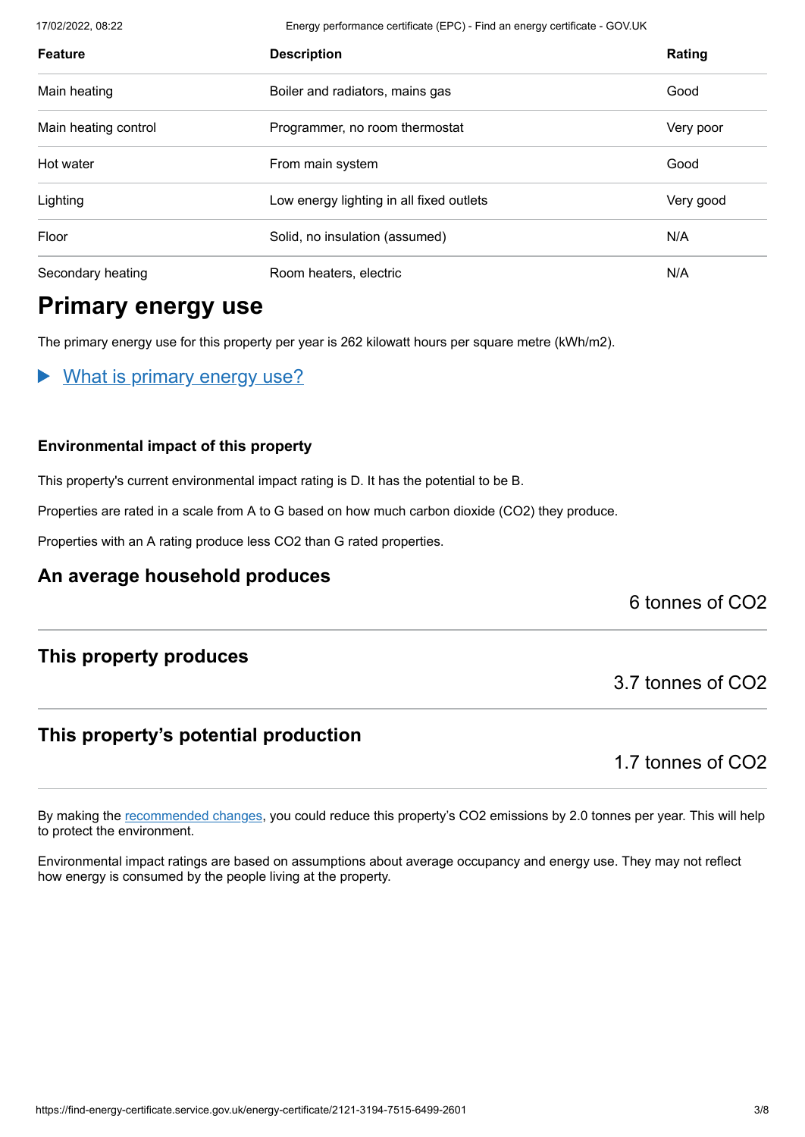17/02/2022, 08:22 Energy performance certificate (EPC) - Find an energy certificate - GOV.UK

| <b>Feature</b>       | <b>Description</b>                       | Rating    |
|----------------------|------------------------------------------|-----------|
| Main heating         | Boiler and radiators, mains gas          | Good      |
| Main heating control | Programmer, no room thermostat           | Very poor |
| Hot water            | From main system                         | Good      |
| Lighting             | Low energy lighting in all fixed outlets | Very good |
| Floor                | Solid, no insulation (assumed)           | N/A       |
| Secondary heating    | Room heaters, electric                   | N/A       |

## **Primary energy use**

The primary energy use for this property per year is 262 kilowatt hours per square metre (kWh/m2).

What is primary energy use?

#### **Environmental impact of this property**

This property's current environmental impact rating is D. It has the potential to be B.

Properties are rated in a scale from A to G based on how much carbon dioxide (CO2) they produce.

Properties with an A rating produce less CO2 than G rated properties.

## **An average household produces**

6 tonnes of CO2

#### **This property produces**

## **This property's potential production**

1.7 tonnes of CO2

3.7 tonnes of CO2

By making the [recommended changes](#page-3-0), you could reduce this property's CO2 emissions by 2.0 tonnes per year. This will help to protect the environment.

Environmental impact ratings are based on assumptions about average occupancy and energy use. They may not reflect how energy is consumed by the people living at the property.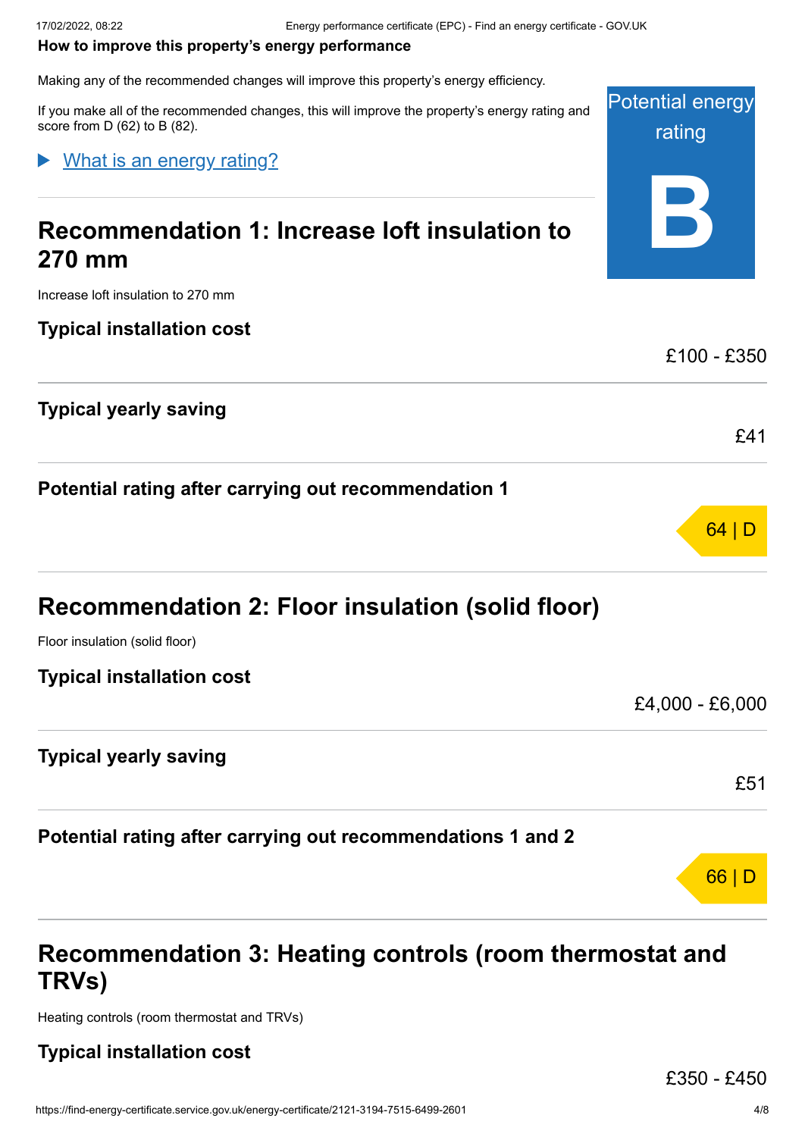#### <span id="page-3-0"></span>**How to improve this property's energy performance**

Making any of the recommended changes will improve this property's energy efficiency.

If you make all of the recommended changes, this will improve the property's energy rating and score from D (62) to B (82).

#### What is an energy rating?

# **Recommendation 1: Increase loft insulation to 270 mm**

Increase loft insulation to 270 mm

**Typical installation cost**

### **Typical yearly saving**

**Potential rating after carrying out recommendation 1**

Floor insulation (solid floor)

**Typical installation cost**

£4,000 - £6,000

£51

66 | D

Potential energy

rating

**B**

£100 - £350

£41

64 | D

#### **Typical yearly saving**

**Potential rating after carrying out recommendations 1 and 2**

# **Recommendation 3: Heating controls (room thermostat and TRVs)**

Heating controls (room thermostat and TRVs)

#### **Typical installation cost**

£350 - £450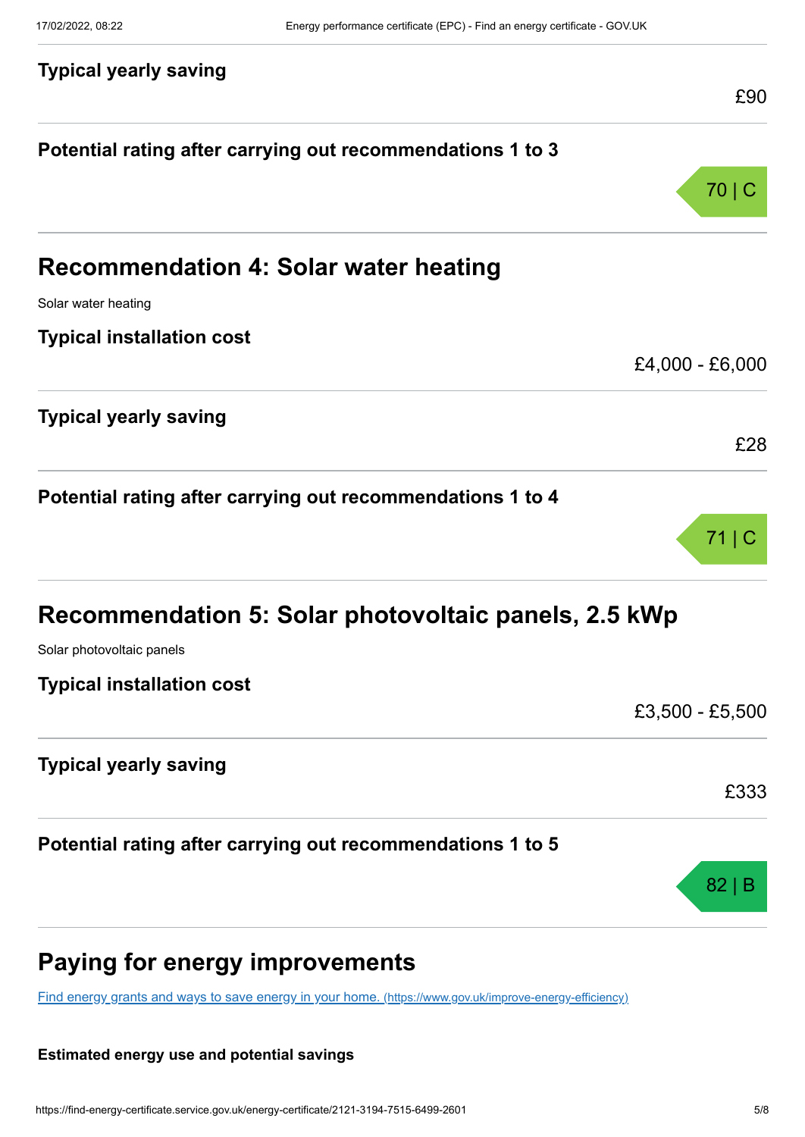| <b>Typical yearly saving</b>                               | £90             |
|------------------------------------------------------------|-----------------|
| Potential rating after carrying out recommendations 1 to 3 |                 |
|                                                            | 70 C            |
| <b>Recommendation 4: Solar water heating</b>               |                 |
| Solar water heating                                        |                 |
| <b>Typical installation cost</b>                           |                 |
|                                                            | £4,000 - £6,000 |
| <b>Typical yearly saving</b>                               | £28             |
| Potential rating after carrying out recommendations 1 to 4 | $71 \mid C$     |
| Recommendation 5: Solar photovoltaic panels, 2.5 kWp       |                 |
| Solar photovoltaic panels                                  |                 |
| <b>Typical installation cost</b>                           |                 |
|                                                            | £3,500 - £5,500 |
| <b>Typical yearly saving</b>                               |                 |
|                                                            | £333            |
| Potential rating after carrying out recommendations 1 to 5 |                 |
|                                                            | $82 \mid B$     |
|                                                            |                 |

# **Paying for energy improvements**

[Find energy grants and ways to save energy in your home.](https://www.gov.uk/improve-energy-efficiency) (https://www.gov.uk/improve-energy-efficiency)

#### **Estimated energy use and potential savings**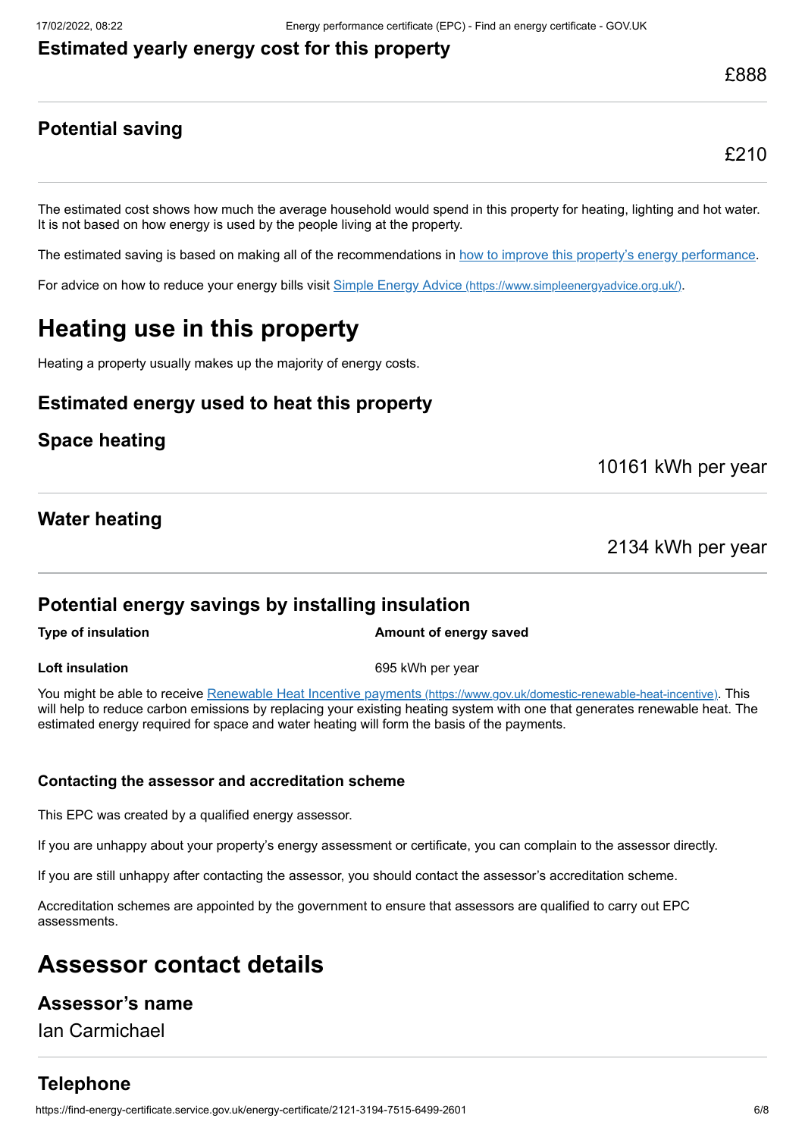#### **Estimated yearly energy cost for this property**

## **Potential saving**

£210

The estimated cost shows how much the average household would spend in this property for heating, lighting and hot water. It is not based on how energy is used by the people living at the property.

The estimated saving is based on making all of the recommendations in [how to improve this property's energy performance.](#page-3-0)

For advice on how to reduce your energy bills visit Simple Energy Advice [\(https://www.simpleenergyadvice.org.uk/\)](https://www.simpleenergyadvice.org.uk/).

# **Heating use in this property**

Heating a property usually makes up the majority of energy costs.

#### **Estimated energy used to heat this property**

### **Space heating**

10161 kWh per year

#### **Water heating**

2134 kWh per year

#### **Potential energy savings by installing insulation**

**Type of insulation Amount of energy saved** 

#### **Loft insulation** 695 kWh per year

You might be able to receive Renewable Heat Incentive payments [\(https://www.gov.uk/domestic-renewable-heat-incentive\)](https://www.gov.uk/domestic-renewable-heat-incentive). This will help to reduce carbon emissions by replacing your existing heating system with one that generates renewable heat. The estimated energy required for space and water heating will form the basis of the payments.

#### **Contacting the assessor and accreditation scheme**

This EPC was created by a qualified energy assessor.

If you are unhappy about your property's energy assessment or certificate, you can complain to the assessor directly.

If you are still unhappy after contacting the assessor, you should contact the assessor's accreditation scheme.

Accreditation schemes are appointed by the government to ensure that assessors are qualified to carry out EPC assessments.

# **Assessor contact details**

#### **Assessor's name**

Ian Carmichael

## **Telephone**

https://find-energy-certificate.service.gov.uk/energy-certificate/2121-3194-7515-6499-2601 6/8